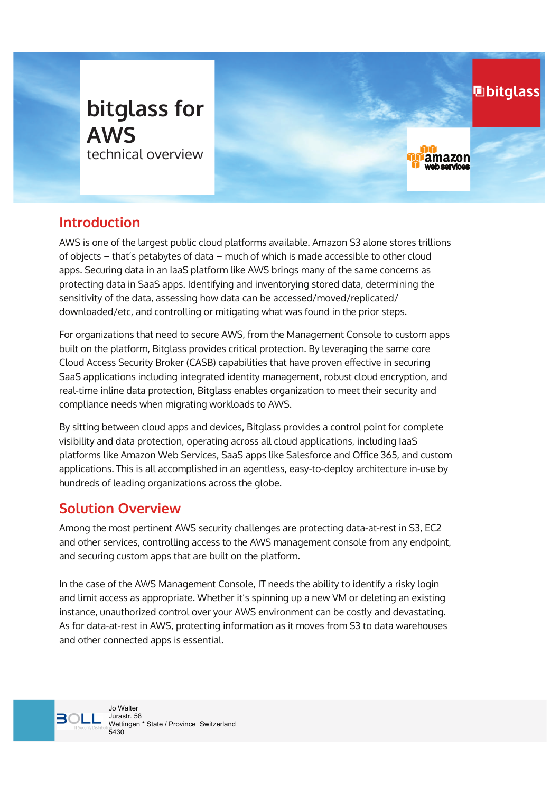

## **Introduction**

AWS is one of the largest public cloud platforms available. Amazon S3 alone stores trillions of objects – that's petabytes of data – much of which is made accessible to other cloud apps. Securing data in an IaaS platform like AWS brings many of the same concerns as protecting data in SaaS apps. Identifying and inventorying stored data, determining the sensitivity of the data, assessing how data can be accessed/moved/replicated/ downloaded/etc, and controlling or mitigating what was found in the prior steps.

**hbitglass** 

amazon

For organizations that need to secure AWS, from the Management Console to custom apps built on the platform, Bitglass provides critical protection. By leveraging the same core Cloud Access Security Broker (CASB) capabilities that have proven effective in securing SaaS applications including integrated identity management, robust cloud encryption, and real-time inline data protection, Bitglass enables organization to meet their security and compliance needs when migrating workloads to AWS.

By sitting between cloud apps and devices, Bitglass provides a control point for complete visibility and data protection, operating across all cloud applications, including IaaS platforms like Amazon Web Services, SaaS apps like Salesforce and Office 365, and custom applications. This is all accomplished in an agentless, easy-to-deploy architecture in-use by hundreds of leading organizations across the globe.

### **Solution Overview**

Among the most pertinent AWS security challenges are protecting data-at-rest in S3, EC2 and other services, controlling access to the AWS management console from any endpoint, and securing custom apps that are built on the platform.

In the case of the AWS Management Console, IT needs the ability to identify a risky login and limit access as appropriate. Whether it's spinning up a new VM or deleting an existing instance, unauthorized control over your AWS environment can be costly and devastating. As for data-at-rest in AWS, protecting information as it moves from S3 to data warehouses and other connected apps is essential.

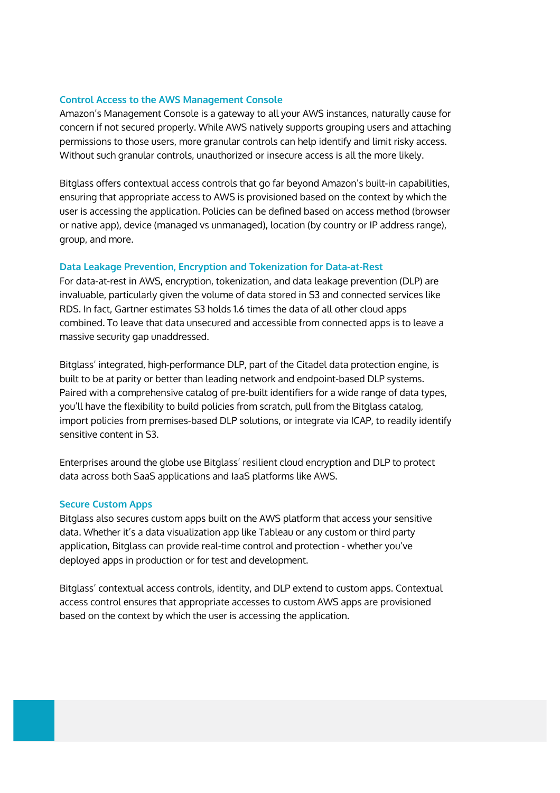#### **Control Access to the AWS Management Console**

Amazon's Management Console is a gateway to all your AWS instances, naturally cause for concern if not secured properly. While AWS natively supports grouping users and attaching permissions to those users, more granular controls can help identify and limit risky access. Without such granular controls, unauthorized or insecure access is all the more likely.

Bitglass offers contextual access controls that go far beyond Amazon's built-in capabilities, ensuring that appropriate access to AWS is provisioned based on the context by which the user is accessing the application. Policies can be defined based on access method (browser or native app), device (managed vs unmanaged), location (by country or IP address range), group, and more.

#### **Data Leakage Prevention, Encryption and Tokenization for Data-at-Rest**

For data-at-rest in AWS, encryption, tokenization, and data leakage prevention (DLP) are invaluable, particularly given the volume of data stored in S3 and connected services like RDS. In fact, Gartner estimates S3 holds 1.6 times the data of all other cloud apps combined. To leave that data unsecured and accessible from connected apps is to leave a massive security gap unaddressed.

Bitglass' integrated, high-performance DLP, part of the Citadel data protection engine, is built to be at parity or better than leading network and endpoint-based DLP systems. Paired with a comprehensive catalog of pre-built identifiers for a wide range of data types, you'll have the flexibility to build policies from scratch, pull from the Bitglass catalog, import policies from premises-based DLP solutions, or integrate via ICAP, to readily identify sensitive content in S3.

Enterprises around the globe use Bitglass' resilient cloud encryption and DLP to protect data across both SaaS applications and IaaS platforms like AWS.

#### **Secure Custom Apps**

Bitglass also secures custom apps built on the AWS platform that access your sensitive data. Whether it's a data visualization app like Tableau or any custom or third party application, Bitglass can provide real-time control and protection - whether you've deployed apps in production or for test and development.

Bitglass' contextual access controls, identity, and DLP extend to custom apps. Contextual access control ensures that appropriate accesses to custom AWS apps are provisioned based on the context by which the user is accessing the application.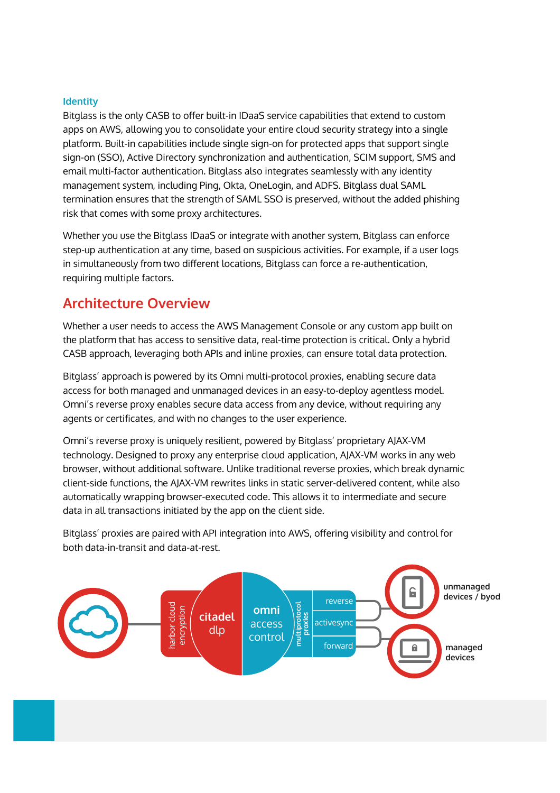#### **Identity**

Bitglass is the only CASB to offer built-in IDaaS service capabilities that extend to custom apps on AWS, allowing you to consolidate your entire cloud security strategy into a single platform. Built-in capabilities include single sign-on for protected apps that support single sign-on (SS2), Active Directory synchronization and authentication, SCIM support, SMS and email multi-factor authentication. Bitglass also integrates seamlessly with any identity management system, including Ping, 2kta, 2neLogin, and ADFS. Bitglass dual SAML termination ensures that the strength of SAML SSO is preserved, without the added phishing risk that comes with some proxy architectures.

Whether you use the Bitglass IDaaS or integrate with another system, Bitglass can enforce step-up authentication at any time, based on suspicious activities. For example, if a user logs in simultaneously from two different locations, Bitglass can force a re-authentication, requiring multiple factors.

## **Architecture Overview**

Whether a user needs to access the AWS Management Console or any custom app built on the platform that has access to sensitive data, real-time protection is critical. Only a hybrid CASB approach, leveraging both APIs and inline proxies, can ensure total data protection.

Bitglass' approach is powered by its 2mni multi-protocol proxies, enabling secure data access for both managed and unmanaged devices in an easy-to-deploy agentless model. Omni's reverse proxy enables secure data access from any device, without requiring any agents or certificates, and with no changes to the user experience.

Omni's reverse proxy is uniquely resilient, powered by Bitglass' proprietary AJAX-VM technology. Designed to proxy any enterprise cloud application, AJAX-VM works in any web browser, without additional software. Unlike traditional reverse proxies, which break dynamic client-side functions, the AJAX-VM rewrites links in static server-delivered content, while also automatically wrapping browser-executed code. This allows it to intermediate and secure data in all transactions initiated by the app on the client side.

Bitglass' proxies are paired with API integration into AWS, offering visibility and control for both data-in-transit and data-at-rest.